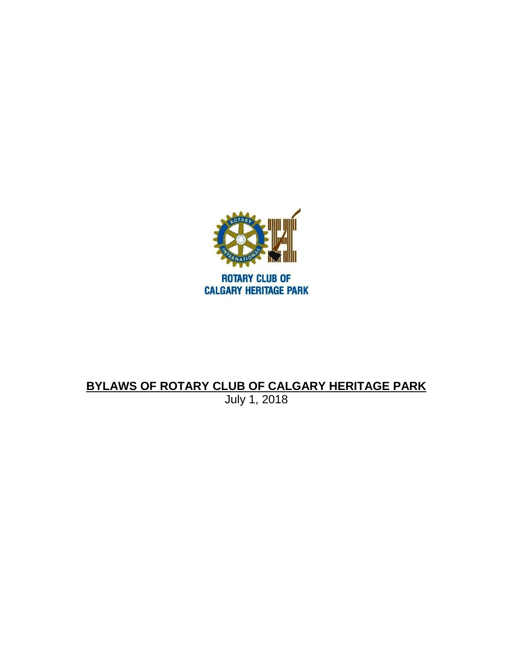

# **BYLAWS OF ROTARY CLUB OF CALGARY HERITAGE PARK** July 1, 2018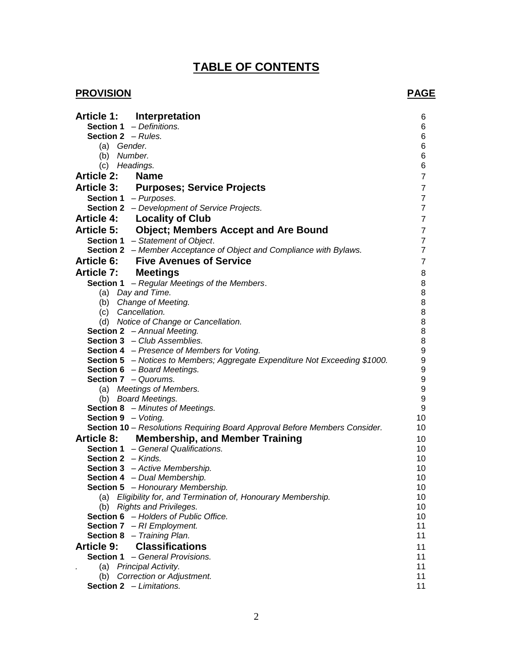# **TABLE OF CONTENTS**

# **PROVISION** PAGE

|                             | Article 1: Interpretation                                                                                         | 6                                    |
|-----------------------------|-------------------------------------------------------------------------------------------------------------------|--------------------------------------|
|                             | Section 1 - Definitions.                                                                                          | 6                                    |
| <b>Section 2</b> - Rules.   |                                                                                                                   | $\,6$                                |
| (a) Gender.                 |                                                                                                                   | $\,6$                                |
| (b) Number.                 |                                                                                                                   | 6                                    |
| (c) Headings.               |                                                                                                                   | $\,6$                                |
| <b>Article 2:</b>           | <b>Name</b>                                                                                                       | $\boldsymbol{7}$                     |
|                             | Article 3: Purposes; Service Projects                                                                             | $\overline{7}$                       |
| Section 1 - Purposes.       |                                                                                                                   | $\overline{7}$                       |
|                             | <b>Section 2</b> - Development of Service Projects.                                                               | $\overline{7}$                       |
|                             | <b>Article 4: Locality of Club</b>                                                                                | $\overline{7}$                       |
|                             | Article 5: Object; Members Accept and Are Bound                                                                   | $\boldsymbol{7}$                     |
|                             | Section 1 - Statement of Object.                                                                                  | $\overline{7}$                       |
|                             | Section 2 - Member Acceptance of Object and Compliance with Bylaws.                                               | $\overline{7}$                       |
|                             | <b>Article 6: Five Avenues of Service</b>                                                                         | $\overline{7}$                       |
| Article 7: Meetings         |                                                                                                                   | 8                                    |
|                             | Section 1 - Regular Meetings of the Members.                                                                      | $\bf 8$                              |
|                             | (a) Day and Time.                                                                                                 | $\, 8$                               |
|                             | (b) Change of Meeting.                                                                                            | $\,$ 8 $\,$                          |
| (c) Cancellation.           |                                                                                                                   | 8                                    |
|                             | (d) Notice of Change or Cancellation.                                                                             | $\bf8$                               |
|                             | Section 2 - Annual Meeting.                                                                                       | 8                                    |
|                             | <b>Section 3</b> - Club Assemblies.                                                                               | 8                                    |
|                             | <b>Section 4</b> - Presence of Members for Voting.                                                                | $\boldsymbol{9}$                     |
|                             | <b>Section 5</b> - Notices to Members; Aggregate Expenditure Not Exceeding \$1000.<br>Section 6 - Board Meetings. | $\boldsymbol{9}$<br>$\boldsymbol{9}$ |
| <b>Section 7</b> - Quorums. |                                                                                                                   | $\boldsymbol{9}$                     |
|                             | (a) Meetings of Members.                                                                                          | $\boldsymbol{9}$                     |
|                             | (b) Board Meetings.                                                                                               | $\boldsymbol{9}$                     |
|                             | <b>Section 8</b> - Minutes of Meetings.                                                                           | $\boldsymbol{9}$                     |
| <b>Section 9</b> - Voting.  |                                                                                                                   | 10                                   |
|                             | Section 10 - Resolutions Requiring Board Approval Before Members Consider.                                        | 10                                   |
|                             | Article 8: Membership, and Member Training                                                                        | 10                                   |
|                             | <b>Section 1</b> - General Qualifications.                                                                        | 10                                   |
| Section 2 - Kinds.          |                                                                                                                   | 10                                   |
|                             | <b>Section 3</b> - Active Membership.                                                                             | 10                                   |
|                             | Section 4 - Dual Membership.                                                                                      | 10                                   |
|                             | Section 5 - Honourary Membership.                                                                                 | 10                                   |
|                             | (a) Eligibility for, and Termination of, Honourary Membership.                                                    | 10                                   |
|                             | (b) Rights and Privileges.                                                                                        | 10                                   |
|                             | Section 6 - Holders of Public Office.                                                                             | 10                                   |
|                             | <b>Section 7</b> $-$ RI Employment.                                                                               | 11                                   |
|                             | Section 8 - Training Plan.                                                                                        | 11                                   |
| <b>Article 9:</b>           | <b>Classifications</b>                                                                                            | 11                                   |
|                             | <b>Section 1</b> - General Provisions.                                                                            | 11                                   |
|                             | (a) Principal Activity.                                                                                           | 11<br>11                             |
|                             | (b) Correction or Adjustment.<br><b>Section 2</b> - Limitations.                                                  | 11                                   |
|                             |                                                                                                                   |                                      |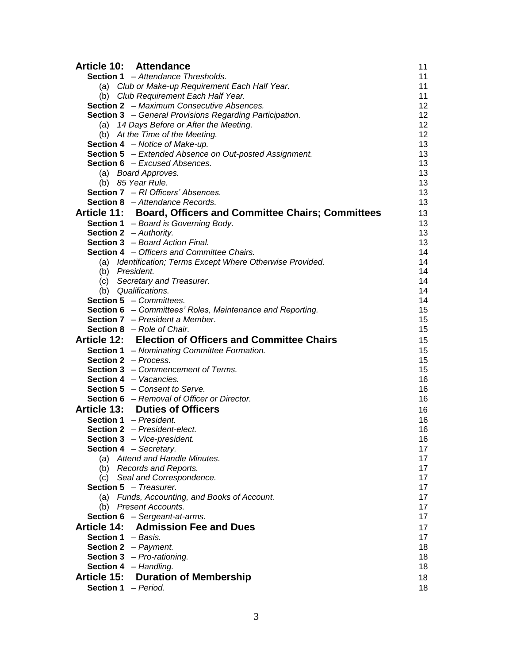| Article 10: Attendance                                           | 11 |
|------------------------------------------------------------------|----|
| <b>Section 1</b> - Attendance Thresholds.                        | 11 |
| (a) Club or Make-up Requirement Each Half Year.                  | 11 |
| (b) Club Requirement Each Half Year.                             | 11 |
| <b>Section 2</b> - Maximum Consecutive Absences.                 | 12 |
| <b>Section 3</b> - General Provisions Regarding Participation.   | 12 |
| (a) 14 Days Before or After the Meeting.                         | 12 |
| (b) At the Time of the Meeting.                                  | 12 |
| <b>Section 4</b> - Notice of Make-up.                            | 13 |
| Section 5 - Extended Absence on Out-posted Assignment.           | 13 |
| <b>Section 6</b> - Excused Absences.                             | 13 |
| (a) Board Approves.                                              | 13 |
| (b) 85 Year Rule.                                                | 13 |
| Section 7 - RI Officers' Absences.                               | 13 |
| Section 8 - Attendance Records.                                  | 13 |
| Article 11: Board, Officers and Committee Chairs; Committees     | 13 |
| <b>Section 1</b> - Board is Governing Body.                      | 13 |
| Section 2 - Authority.                                           | 13 |
| <b>Section 3</b> - Board Action Final.                           | 13 |
| <b>Section 4</b> - Officers and Committee Chairs.                | 14 |
| (a) Identification; Terms Except Where Otherwise Provided.       | 14 |
| (b) President.                                                   | 14 |
| (c) Secretary and Treasurer.                                     | 14 |
| (b) Qualifications.                                              | 14 |
| <b>Section 5</b> - Committees.                                   | 14 |
| <b>Section 6</b> - Committees' Roles, Maintenance and Reporting. | 15 |
| <b>Section 7</b> – President a Member.                           | 15 |
| <b>Section 8</b> - Role of Chair.                                | 15 |
| Article 12: Election of Officers and Committee Chairs            | 15 |
| <b>Section 1</b> - Nominating Committee Formation.               | 15 |
| <b>Section 2</b> - Process.                                      | 15 |
| Section 3 - Commencement of Terms.                               | 15 |
| <b>Section 4</b> – Vacancies.                                    | 16 |
| <b>Section 5</b> – Consent to Serve.                             | 16 |
| <b>Section 6</b> - Removal of Officer or Director.               | 16 |
| <b>Article 13: Duties of Officers</b>                            | 16 |
| <b>Section 1</b> - President.                                    | 16 |
| <b>Section 2</b> - President-elect.                              | 16 |
| Section 3 - Vice-president.                                      | 16 |
| <b>Section 4</b> - Secretary.                                    | 17 |
| (a) Attend and Handle Minutes.                                   | 17 |
| (b) Records and Reports.                                         | 17 |
| (c) Seal and Correspondence.                                     | 17 |
| Section 5 - Treasurer.                                           | 17 |
| (a) Funds, Accounting, and Books of Account.                     | 17 |
| (b) Present Accounts.                                            | 17 |
| <b>Section 6</b> - Sergeant-at-arms.                             | 17 |
| Article 14: Admission Fee and Dues                               | 17 |
| <b>Section 1</b> - Basis.                                        | 17 |
| Section 2 - Payment.                                             | 18 |
| <b>Section 3</b> $-$ <i>Pro-rationing.</i>                       | 18 |
| Section 4 - Handling.                                            | 18 |
| <b>Article 15: Duration of Membership</b>                        |    |
|                                                                  | 18 |
| Section 1 - Period.                                              | 18 |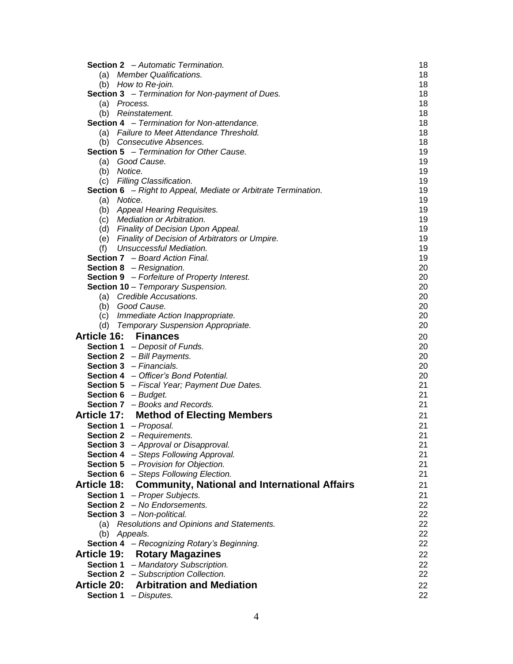| <b>Section 2</b> - Automatic Termination.                             | 18       |
|-----------------------------------------------------------------------|----------|
| (a) Member Qualifications.                                            | 18       |
| (b) How to Re-join.                                                   | 18       |
| <b>Section 3</b> - Termination for Non-payment of Dues.               | 18       |
| (a) Process.                                                          | 18       |
| (b) Reinstatement.                                                    | 18       |
| <b>Section 4</b> - Termination for Non-attendance.                    | 18       |
| (a) Failure to Meet Attendance Threshold.                             | 18       |
| (b) Consecutive Absences.                                             | 18       |
| <b>Section 5</b> - Termination for Other Cause.                       | 19       |
| (a) Good Cause.                                                       | 19       |
| (b) Notice.                                                           | 19       |
| (c) Filling Classification.                                           | 19       |
| <b>Section 6</b> - Right to Appeal, Mediate or Arbitrate Termination. | 19       |
| (a) Notice.                                                           | 19<br>19 |
| (b) Appeal Hearing Requisites.<br>(c) Mediation or Arbitration.       | 19       |
| (d) Finality of Decision Upon Appeal.                                 | 19       |
| (e) Finality of Decision of Arbitrators or Umpire.                    | 19       |
| Unsuccessful Mediation.<br>(f)                                        | 19       |
| <b>Section 7</b> - Board Action Final.                                | 19       |
| <b>Section 8</b> - Resignation.                                       | 20       |
| <b>Section 9</b> - Forfeiture of Property Interest.                   | 20       |
| Section 10 - Temporary Suspension.                                    | 20       |
| (a) Credible Accusations.                                             | 20       |
| (b) Good Cause.                                                       | 20       |
| (c) Immediate Action Inappropriate.                                   | 20       |
| (d) Temporary Suspension Appropriate.                                 | 20       |
| Article 16: Finances                                                  | 20       |
| <b>Section 1</b> - Deposit of Funds.                                  | 20       |
| <b>Section 2</b> $-$ Bill Payments.                                   | 20       |
| <b>Section 3</b> - Financials.                                        | 20       |
| Section 4 - Officer's Bond Potential.                                 | 20       |
| Section 5 - Fiscal Year; Payment Due Dates.                           | 21       |
| Section 6 - Budget.                                                   | 21       |
| Section 7 - Books and Records.                                        | 21       |
| <b>Article 17: Method of Electing Members</b>                         | 21       |
| Section 1 - Proposal.                                                 | 21       |
| <b>Section 2</b> - Requirements.                                      | 21       |
| Section 3 - Approval or Disapproval.                                  | 21       |
| Section 4 - Steps Following Approval.                                 | 21       |
| <b>Section 5</b> - Provision for Objection.                           | 21       |
| <b>Section 6</b> - Steps Following Election.                          | 21       |
| Article 18: Community, National and International Affairs             | 21       |
| Section 1 - Proper Subjects.                                          | 21       |
| <b>Section 2</b> $-$ No Endorsements.                                 | 22<br>22 |
| Section 3 - Non-political.                                            | 22       |
| (a) Resolutions and Opinions and Statements.<br>(b) Appeals.          | 22       |
| Section 4 - Recognizing Rotary's Beginning.                           | 22       |
|                                                                       |          |
| <b>Article 19: Rotary Magazines</b>                                   | 22       |
| Section 1 - Mandatory Subscription.                                   | 22       |
| <b>Section 2</b> - Subscription Collection.                           | 22       |
| <b>Article 20: Arbitration and Mediation</b>                          | 22       |
| <b>Section 1</b> $-$ <i>Disputes.</i>                                 | 22       |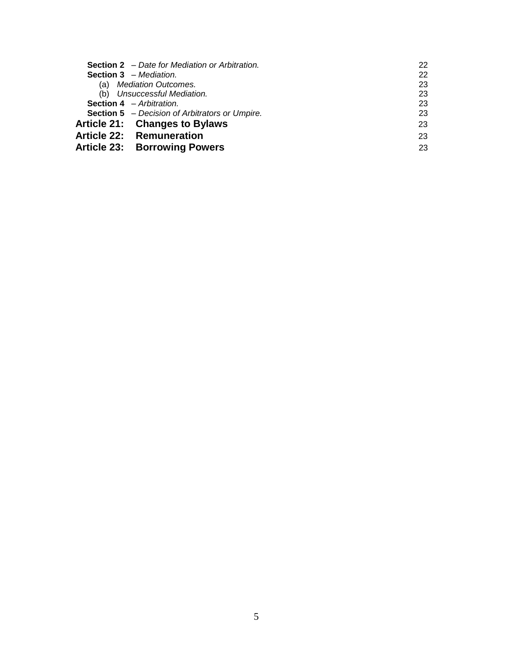| <b>Section 2</b> – Date for Mediation or Arbitration. | 22 |
|-------------------------------------------------------|----|
| <b>Section 3</b> - Mediation.                         | 22 |
| (a) Mediation Outcomes.                               | 23 |
| (b) Unsuccessful Mediation.                           | 23 |
| <b>Section 4</b> - Arbitration.                       | 23 |
| <b>Section 5</b> - Decision of Arbitrators or Umpire. | 23 |
| Article 21: Changes to Bylaws                         | 23 |
| <b>Article 22: Remuneration</b>                       | 23 |
| <b>Article 23: Borrowing Powers</b>                   | 23 |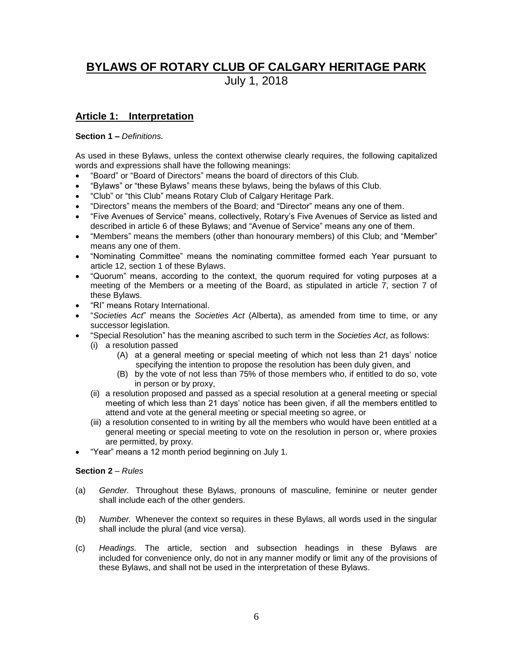# **BYLAWS OF ROTARY CLUB OF CALGARY HERITAGE PARK**

July 1, 2018

# **Article 1: Interpretation**

#### **Section 1 –** *Definitions.*

As used in these Bylaws, unless the context otherwise clearly requires, the following capitalized words and expressions shall have the following meanings:

- "Board" or "Board of Directors" means the board of directors of this Club.
- "Bylaws" or "these Bylaws" means these bylaws, being the bylaws of this Club.
- "Club" or "this Club" means Rotary Club of Calgary Heritage Park.
- "Directors" means the members of the Board; and "Director" means any one of them.
- "Five Avenues of Service" means, collectively, Rotary's Five Avenues of Service as listed and described in article 6 of these Bylaws; and "Avenue of Service" means any one of them.
- "Members" means the members (other than honourary members) of this Club; and "Member" means any one of them.
- "Nominating Committee" means the nominating committee formed each Year pursuant to article 12, section 1 of these Bylaws.
- "Quorum" means, according to the context, the quorum required for voting purposes at a meeting of the Members or a meeting of the Board, as stipulated in article 7, section 7 of these Bylaws.
- "RI" means Rotary International.
- "*Societies Act*" means the *Societies Act* (Alberta), as amended from time to time, or any successor legislation.
- "Special Resolution" has the meaning ascribed to such term in the *Societies Act*, as follows:
	- (i) a resolution passed
		- (A) at a general meeting or special meeting of which not less than 21 days' notice specifying the intention to propose the resolution has been duly given, and
		- (B) by the vote of not less than 75% of those members who, if entitled to do so, vote in person or by proxy,
	- (ii) a resolution proposed and passed as a special resolution at a general meeting or special meeting of which less than 21 days' notice has been given, if all the members entitled to attend and vote at the general meeting or special meeting so agree, or
	- (iii) a resolution consented to in writing by all the members who would have been entitled at a general meeting or special meeting to vote on the resolution in person or, where proxies are permitted, by proxy.
- "Year" means a 12 month period beginning on July 1.

#### **Section 2** – *Rules*

- (a) *Gender.* Throughout these Bylaws, pronouns of masculine, feminine or neuter gender shall include each of the other genders.
- (b) *Number.* Whenever the context so requires in these Bylaws, all words used in the singular shall include the plural (and vice versa).
- (c) *Headings.* The article, section and subsection headings in these Bylaws are included for convenience only, do not in any manner modify or limit any of the provisions of these Bylaws, and shall not be used in the interpretation of these Bylaws.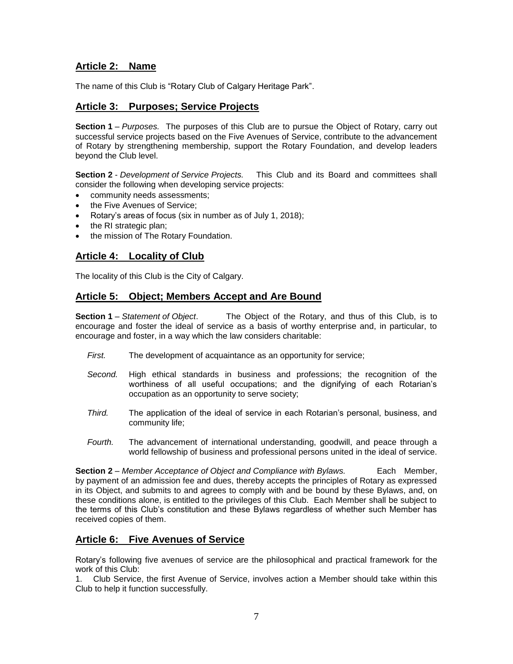# **Article 2: Name**

The name of this Club is "Rotary Club of Calgary Heritage Park".

# **Article 3: Purposes; Service Projects**

**Section 1** *– Purposes.* The purposes of this Club are to pursue the Object of Rotary, carry out successful service projects based on the Five Avenues of Service, contribute to the advancement of Rotary by strengthening membership, support the Rotary Foundation, and develop leaders beyond the Club level.

**Section 2** - *Development of Service Projects.* This Club and its Board and committees shall consider the following when developing service projects:

- community needs assessments;
- the Five Avenues of Service;
- Rotary's areas of focus (six in number as of July 1, 2018);
- the RI strategic plan;
- the mission of The Rotary Foundation.

# **Article 4: Locality of Club**

The locality of this Club is the City of Calgary.

# **Article 5: Object; Members Accept and Are Bound**

**Section 1** – *Statement of Object*. The Object of the Rotary, and thus of this Club, is to encourage and foster the ideal of service as a basis of worthy enterprise and, in particular, to encourage and foster, in a way which the law considers charitable:

- *First.* The development of acquaintance as an opportunity for service;
- *Second.* High ethical standards in business and professions; the recognition of the worthiness of all useful occupations; and the dignifying of each Rotarian's occupation as an opportunity to serve society;
- *Third.* The application of the ideal of service in each Rotarian's personal, business, and community life;
- *Fourth.* The advancement of international understanding, goodwill, and peace through a world fellowship of business and professional persons united in the ideal of service.

**Section 2** *– Member Acceptance of Object and Compliance with Bylaws.* Each Member, by payment of an admission fee and dues, thereby accepts the principles of Rotary as expressed in its Object, and submits to and agrees to comply with and be bound by these Bylaws, and, on these conditions alone, is entitled to the privileges of this Club. Each Member shall be subject to the terms of this Club's constitution and these Bylaws regardless of whether such Member has received copies of them.

# **Article 6: Five Avenues of Service**

Rotary's following five avenues of service are the philosophical and practical framework for the work of this Club:

1. Club Service, the first Avenue of Service, involves action a Member should take within this Club to help it function successfully.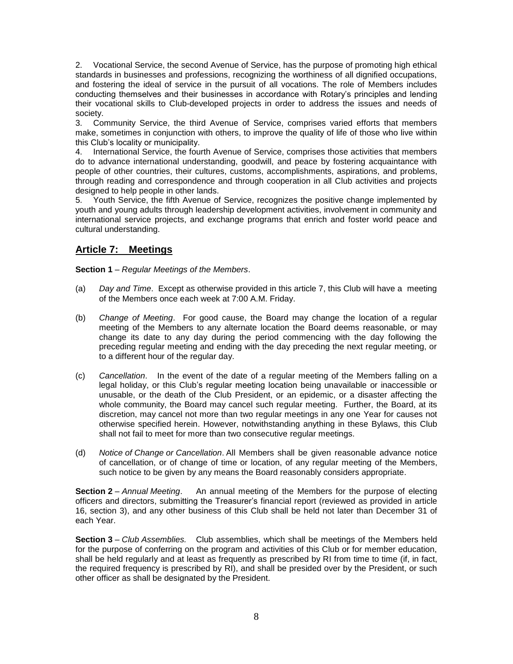2. Vocational Service, the second Avenue of Service, has the purpose of promoting high ethical standards in businesses and professions, recognizing the worthiness of all dignified occupations, and fostering the ideal of service in the pursuit of all vocations. The role of Members includes conducting themselves and their businesses in accordance with Rotary's principles and lending their vocational skills to Club-developed projects in order to address the issues and needs of society.

3. Community Service, the third Avenue of Service, comprises varied efforts that members make, sometimes in conjunction with others, to improve the quality of life of those who live within this Club's locality or municipality.

4. International Service, the fourth Avenue of Service, comprises those activities that members do to advance international understanding, goodwill, and peace by fostering acquaintance with people of other countries, their cultures, customs, accomplishments, aspirations, and problems, through reading and correspondence and through cooperation in all Club activities and projects designed to help people in other lands.

5. Youth Service, the fifth Avenue of Service, recognizes the positive change implemented by youth and young adults through leadership development activities, involvement in community and international service projects, and exchange programs that enrich and foster world peace and cultural understanding.

# **Article 7: Meetings**

**Section 1** – *Regular Meetings of the Members*.

- (a) *Day and Time*.Except as otherwise provided in this article 7, this Club will have a meeting of the Members once each week at 7:00 A.M. Friday.
- (b) *Change of Meeting*.For good cause, the Board may change the location of a regular meeting of the Members to any alternate location the Board deems reasonable, or may change its date to any day during the period commencing with the day following the preceding regular meeting and ending with the day preceding the next regular meeting, or to a different hour of the regular day.
- (c) *Cancellation*.In the event of the date of a regular meeting of the Members falling on a legal holiday, or this Club's regular meeting location being unavailable or inaccessible or unusable, or the death of the Club President, or an epidemic, or a disaster affecting the whole community, the Board may cancel such regular meeting. Further, the Board, at its discretion, may cancel not more than two regular meetings in any one Year for causes not otherwise specified herein. However, notwithstanding anything in these Bylaws, this Club shall not fail to meet for more than two consecutive regular meetings.
- (d) *Notice of Change or Cancellation*. All Members shall be given reasonable advance notice of cancellation, or of change of time or location, of any regular meeting of the Members, such notice to be given by any means the Board reasonably considers appropriate.

**Section 2** – *Annual Meeting*. An annual meeting of the Members for the purpose of electing officers and directors, submitting the Treasurer's financial report (reviewed as provided in article 16, section 3), and any other business of this Club shall be held not later than December 31 of each Year.

**Section 3** – *Club Assemblies.* Club assemblies, which shall be meetings of the Members held for the purpose of conferring on the program and activities of this Club or for member education, shall be held regularly and at least as frequently as prescribed by RI from time to time (if, in fact, the required frequency is prescribed by RI), and shall be presided over by the President, or such other officer as shall be designated by the President.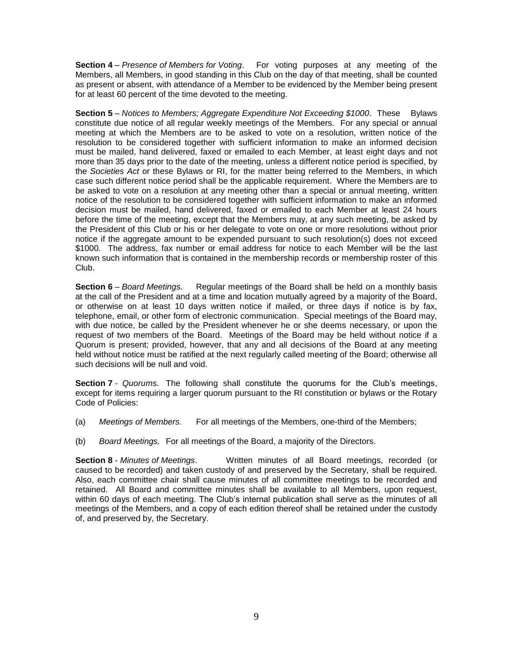**Section 4** – *Presence of Members for Voting*. For voting purposes at any meeting of the Members, all Members, in good standing in this Club on the day of that meeting, shall be counted as present or absent, with attendance of a Member to be evidenced by the Member being present for at least 60 percent of the time devoted to the meeting.

**Section 5** – *Notices to Members; Aggregate Expenditure Not Exceeding \$1000*. These Bylaws constitute due notice of all regular weekly meetings of the Members. For any special or annual meeting at which the Members are to be asked to vote on a resolution, written notice of the resolution to be considered together with sufficient information to make an informed decision must be mailed, hand delivered, faxed or emailed to each Member, at least eight days and not more than 35 days prior to the date of the meeting, unless a different notice period is specified, by the *Societies Act* or these Bylaws or RI, for the matter being referred to the Members, in which case such different notice period shall be the applicable requirement. Where the Members are to be asked to vote on a resolution at any meeting other than a special or annual meeting, written notice of the resolution to be considered together with sufficient information to make an informed decision must be mailed, hand delivered, faxed or emailed to each Member at least 24 hours before the time of the meeting, except that the Members may, at any such meeting, be asked by the President of this Club or his or her delegate to vote on one or more resolutions without prior notice if the aggregate amount to be expended pursuant to such resolution(s) does not exceed \$1000. The address, fax number or email address for notice to each Member will be the last known such information that is contained in the membership records or membership roster of this Club.

**Section 6** – *Board Meetings.* Regular meetings of the Board shall be held on a monthly basis at the call of the President and at a time and location mutually agreed by a majority of the Board, or otherwise on at least 10 days written notice if mailed, or three days if notice is by fax, telephone, email, or other form of electronic communication. Special meetings of the Board may, with due notice, be called by the President whenever he or she deems necessary, or upon the request of two members of the Board. Meetings of the Board may be held without notice if a Quorum is present; provided, however, that any and all decisions of the Board at any meeting held without notice must be ratified at the next regularly called meeting of the Board; otherwise all such decisions will be null and void.

**Section 7** -*Quorums.* The following shall constitute the quorums for the Club's meetings, except for items requiring a larger quorum pursuant to the RI constitution or bylaws or the Rotary Code of Policies:

- (a) *Meetings of Members.* For all meetings of the Members, one-third of the Members;
- (b) *Board Meetings.* For all meetings of the Board, a majority of the Directors.

**Section 8** - *Minutes of Meetings*. Written minutes of all Board meetings, recorded (or caused to be recorded) and taken custody of and preserved by the Secretary, shall be required. Also, each committee chair shall cause minutes of all committee meetings to be recorded and retained. All Board and committee minutes shall be available to all Members, upon request, within 60 days of each meeting. The Club's internal publication shall serve as the minutes of all meetings of the Members, and a copy of each edition thereof shall be retained under the custody of, and preserved by, the Secretary.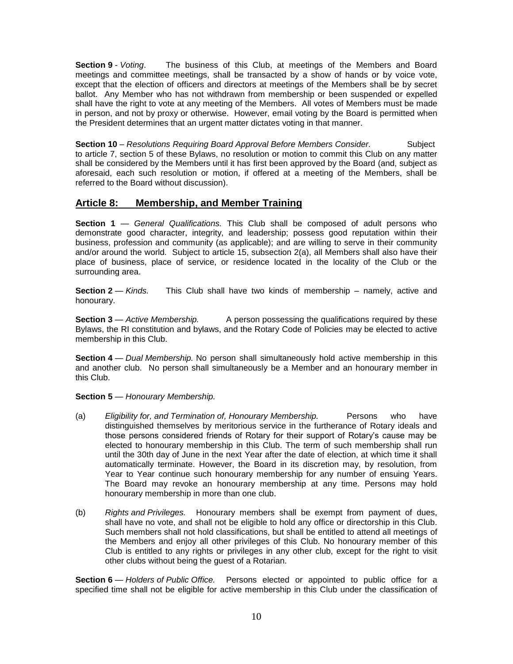**Section 9** - *Voting*. The business of this Club, at meetings of the Members and Board meetings and committee meetings, shall be transacted by a show of hands or by voice vote, except that the election of officers and directors at meetings of the Members shall be by secret ballot. Any Member who has not withdrawn from membership or been suspended or expelled shall have the right to vote at any meeting of the Members. All votes of Members must be made in person, and not by proxy or otherwise. However, email voting by the Board is permitted when the President determines that an urgent matter dictates voting in that manner.

**Section 10** – *Resolutions Requiring Board Approval Before Members Consider.* Subject to article 7, section 5 of these Bylaws, no resolution or motion to commit this Club on any matter shall be considered by the Members until it has first been approved by the Board (and, subject as aforesaid, each such resolution or motion, if offered at a meeting of the Members, shall be referred to the Board without discussion).

# **Article 8: Membership, and Member Training**

**Section 1** — *General Qualifications.* This Club shall be composed of adult persons who demonstrate good character, integrity, and leadership; possess good reputation within their business, profession and community (as applicable); and are willing to serve in their community and/or around the world. Subject to article 15, subsection 2(a), all Members shall also have their place of business, place of service, or residence located in the locality of the Club or the surrounding area.

**Section 2** — *Kinds.* This Club shall have two kinds of membership – namely, active and honourary.

**Section 3** — *Active Membership.* A person possessing the qualifications required by these Bylaws, the RI constitution and bylaws, and the Rotary Code of Policies may be elected to active membership in this Club.

**Section 4** — *Dual Membership.* No person shall simultaneously hold active membership in this and another club. No person shall simultaneously be a Member and an honourary member in this Club.

**Section 5** — *Honourary Membership.* 

- (a) *Eligibility for, and Termination of, Honourary Membership.* Persons who have distinguished themselves by meritorious service in the furtherance of Rotary ideals and those persons considered friends of Rotary for their support of Rotary's cause may be elected to honourary membership in this Club. The term of such membership shall run until the 30th day of June in the next Year after the date of election, at which time it shall automatically terminate. However, the Board in its discretion may, by resolution, from Year to Year continue such honourary membership for any number of ensuing Years. The Board may revoke an honourary membership at any time. Persons may hold honourary membership in more than one club.
- (b) *Rights and Privileges.* Honourary members shall be exempt from payment of dues, shall have no vote, and shall not be eligible to hold any office or directorship in this Club. Such members shall not hold classifications, but shall be entitled to attend all meetings of the Members and enjoy all other privileges of this Club. No honourary member of this Club is entitled to any rights or privileges in any other club, except for the right to visit other clubs without being the guest of a Rotarian.

**Section 6** — *Holders of Public Office.* Persons elected or appointed to public office for a specified time shall not be eligible for active membership in this Club under the classification of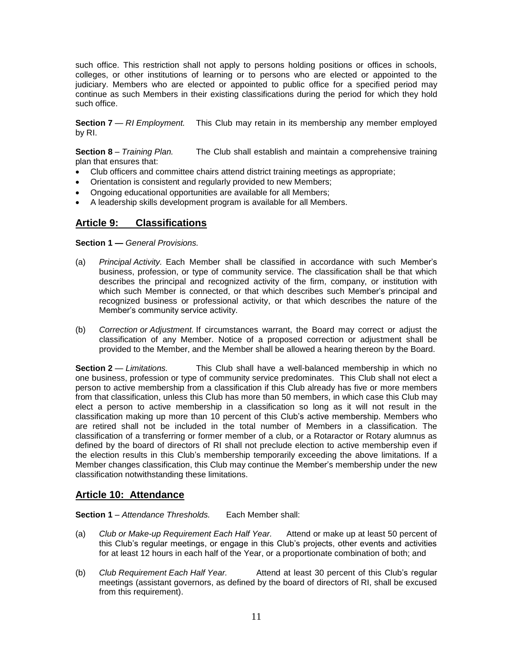such office. This restriction shall not apply to persons holding positions or offices in schools, colleges, or other institutions of learning or to persons who are elected or appointed to the judiciary. Members who are elected or appointed to public office for a specified period may continue as such Members in their existing classifications during the period for which they hold such office.

**Section 7** — *RI Employment.* This Club may retain in its membership any member employed by RI.

**Section 8** – *Training Plan.* The Club shall establish and maintain a comprehensive training plan that ensures that:

- Club officers and committee chairs attend district training meetings as appropriate;
- Orientation is consistent and regularly provided to new Members;
- Ongoing educational opportunities are available for all Members;
- A leadership skills development program is available for all Members.

# **Article 9: Classifications**

**Section 1 —** *General Provisions.* 

- (a) *Principal Activity.* Each Member shall be classified in accordance with such Member's business, profession, or type of community service. The classification shall be that which describes the principal and recognized activity of the firm, company, or institution with which such Member is connected, or that which describes such Member's principal and recognized business or professional activity, or that which describes the nature of the Member's community service activity.
- (b) *Correction or Adjustment.* If circumstances warrant, the Board may correct or adjust the classification of any Member. Notice of a proposed correction or adjustment shall be provided to the Member, and the Member shall be allowed a hearing thereon by the Board.

**Section 2** — *Limitations.* This Club shall have a well-balanced membership in which no one business, profession or type of community service predominates. This Club shall not elect a person to active membership from a classification if this Club already has five or more members from that classification, unless this Club has more than 50 members, in which case this Club may elect a person to active membership in a classification so long as it will not result in the classification making up more than 10 percent of this Club's active membership. Members who are retired shall not be included in the total number of Members in a classification. The classification of a transferring or former member of a club, or a Rotaractor or Rotary alumnus as defined by the board of directors of RI shall not preclude election to active membership even if the election results in this Club's membership temporarily exceeding the above limitations. If a Member changes classification, this Club may continue the Member's membership under the new classification notwithstanding these limitations.

#### **Article 10: Attendance**

**Section 1** – *Attendance Thresholds.* Each Member shall:

- (a) *Club or Make-up Requirement Each Half Year.* Attend or make up at least 50 percent of this Club's regular meetings, or engage in this Club's projects, other events and activities for at least 12 hours in each half of the Year, or a proportionate combination of both; and
- (b) *Club Requirement Each Half Year.* Attend at least 30 percent of this Club's regular meetings (assistant governors, as defined by the board of directors of RI, shall be excused from this requirement).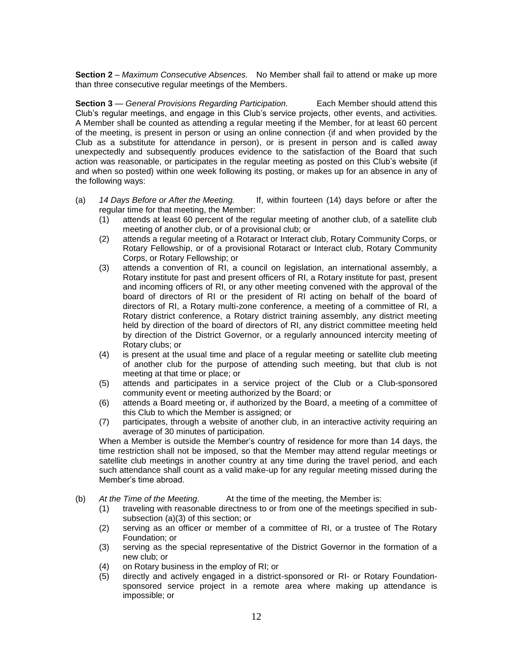**Section 2** – *Maximum Consecutive Absences.* No Member shall fail to attend or make up more than three consecutive regular meetings of the Members.

**Section 3** — *General Provisions Regarding Participation.* Each Member should attend this Club's regular meetings, and engage in this Club's service projects, other events, and activities. A Member shall be counted as attending a regular meeting if the Member, for at least 60 percent of the meeting, is present in person or using an online connection (if and when provided by the Club as a substitute for attendance in person), or is present in person and is called away unexpectedly and subsequently produces evidence to the satisfaction of the Board that such action was reasonable, or participates in the regular meeting as posted on this Club's website (if and when so posted) within one week following its posting, or makes up for an absence in any of the following ways:

- (a) *14 Days Before or After the Meeting.* If, within fourteen (14) days before or after the regular time for that meeting, the Member:
	- (1) attends at least 60 percent of the regular meeting of another club, of a satellite club meeting of another club, or of a provisional club; or
	- (2) attends a regular meeting of a Rotaract or Interact club, Rotary Community Corps, or Rotary Fellowship, or of a provisional Rotaract or Interact club, Rotary Community Corps, or Rotary Fellowship; or
	- (3) attends a convention of RI, a council on legislation, an international assembly, a Rotary institute for past and present officers of RI, a Rotary institute for past, present and incoming officers of RI, or any other meeting convened with the approval of the board of directors of RI or the president of RI acting on behalf of the board of directors of RI, a Rotary multi-zone conference, a meeting of a committee of RI, a Rotary district conference, a Rotary district training assembly, any district meeting held by direction of the board of directors of RI, any district committee meeting held by direction of the District Governor, or a regularly announced intercity meeting of Rotary clubs; or
	- (4) is present at the usual time and place of a regular meeting or satellite club meeting of another club for the purpose of attending such meeting, but that club is not meeting at that time or place; or
	- (5) attends and participates in a service project of the Club or a Club-sponsored community event or meeting authorized by the Board; or
	- (6) attends a Board meeting or, if authorized by the Board, a meeting of a committee of this Club to which the Member is assigned; or
	- (7) participates, through a website of another club, in an interactive activity requiring an average of 30 minutes of participation.

When a Member is outside the Member's country of residence for more than 14 days, the time restriction shall not be imposed, so that the Member may attend regular meetings or satellite club meetings in another country at any time during the travel period, and each such attendance shall count as a valid make-up for any regular meeting missed during the Member's time abroad.

- (b) *At the Time of the Meeting.* At the time of the meeting, the Member is:
	- (1) traveling with reasonable directness to or from one of the meetings specified in subsubsection (a)(3) of this section; or
	- (2) serving as an officer or member of a committee of RI, or a trustee of The Rotary Foundation; or
	- (3) serving as the special representative of the District Governor in the formation of a new club; or
	- (4) on Rotary business in the employ of RI; or
	- (5) directly and actively engaged in a district-sponsored or RI- or Rotary Foundationsponsored service project in a remote area where making up attendance is impossible; or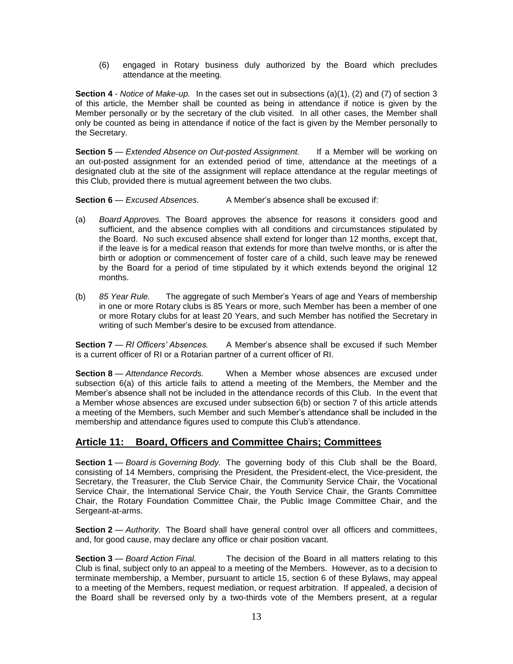(6) engaged in Rotary business duly authorized by the Board which precludes attendance at the meeting.

**Section 4** - *Notice of Make-up.* In the cases set out in subsections (a)(1), (2) and (7) of section 3 of this article, the Member shall be counted as being in attendance if notice is given by the Member personally or by the secretary of the club visited. In all other cases, the Member shall only be counted as being in attendance if notice of the fact is given by the Member personally to the Secretary.

**Section 5** — *Extended Absence on Out-posted Assignment.* If a Member will be working on an out-posted assignment for an extended period of time, attendance at the meetings of a designated club at the site of the assignment will replace attendance at the regular meetings of this Club, provided there is mutual agreement between the two clubs.

**Section 6** — *Excused Absences.* A Member's absence shall be excused if:

- (a) *Board Approves.* The Board approves the absence for reasons it considers good and sufficient, and the absence complies with all conditions and circumstances stipulated by the Board. No such excused absence shall extend for longer than 12 months, except that, if the leave is for a medical reason that extends for more than twelve months, or is after the birth or adoption or commencement of foster care of a child, such leave may be renewed by the Board for a period of time stipulated by it which extends beyond the original 12 months.
- (b) *85 Year Rule.* The aggregate of such Member's Years of age and Years of membership in one or more Rotary clubs is 85 Years or more, such Member has been a member of one or more Rotary clubs for at least 20 Years, and such Member has notified the Secretary in writing of such Member's desire to be excused from attendance.

**Section 7** — *RI Officers' Absences.* A Member's absence shall be excused if such Member is a current officer of RI or a Rotarian partner of a current officer of RI.

**Section 8** — *Attendance Records.* When a Member whose absences are excused under subsection 6(a) of this article fails to attend a meeting of the Members, the Member and the Member's absence shall not be included in the attendance records of this Club. In the event that a Member whose absences are excused under subsection 6(b) or section 7 of this article attends a meeting of the Members, such Member and such Member's attendance shall be included in the membership and attendance figures used to compute this Club's attendance.

# **Article 11: Board, Officers and Committee Chairs; Committees**

**Section 1** — *Board is Governing Body.* The governing body of this Club shall be the Board, consisting of 14 Members, comprising the President, the President-elect, the Vice-president, the Secretary, the Treasurer, the Club Service Chair, the Community Service Chair, the Vocational Service Chair, the International Service Chair, the Youth Service Chair, the Grants Committee Chair, the Rotary Foundation Committee Chair, the Public Image Committee Chair, and the Sergeant-at-arms.

**Section 2** — *Authority*. The Board shall have general control over all officers and committees, and, for good cause, may declare any office or chair position vacant.

**Section 3** — *Board Action Final.* The decision of the Board in all matters relating to this Club is final, subject only to an appeal to a meeting of the Members. However, as to a decision to terminate membership, a Member, pursuant to article 15, section 6 of these Bylaws, may appeal to a meeting of the Members, request mediation, or request arbitration. If appealed, a decision of the Board shall be reversed only by a two-thirds vote of the Members present, at a regular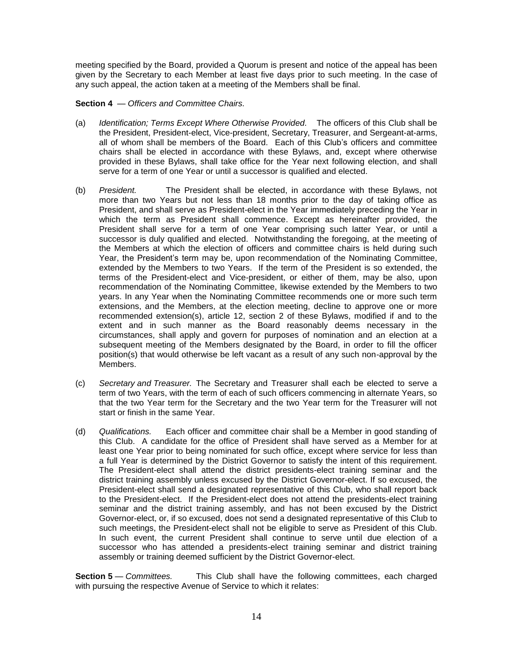meeting specified by the Board, provided a Quorum is present and notice of the appeal has been given by the Secretary to each Member at least five days prior to such meeting. In the case of any such appeal, the action taken at a meeting of the Members shall be final.

**Section 4** — *Officers and Committee Chairs.* 

- (a) *Identification; Terms Except Where Otherwise Provided.* The officers of this Club shall be the President, President-elect, Vice-president, Secretary, Treasurer, and Sergeant-at-arms, all of whom shall be members of the Board. Each of this Club's officers and committee chairs shall be elected in accordance with these Bylaws, and, except where otherwise provided in these Bylaws, shall take office for the Year next following election, and shall serve for a term of one Year or until a successor is qualified and elected.
- (b) *President.* The President shall be elected, in accordance with these Bylaws, not more than two Years but not less than 18 months prior to the day of taking office as President, and shall serve as President-elect in the Year immediately preceding the Year in which the term as President shall commence. Except as hereinafter provided, the President shall serve for a term of one Year comprising such latter Year, or until a successor is duly qualified and elected. Notwithstanding the foregoing, at the meeting of the Members at which the election of officers and committee chairs is held during such Year, the President's term may be, upon recommendation of the Nominating Committee, extended by the Members to two Years. If the term of the President is so extended, the terms of the President-elect and Vice-president, or either of them, may be also, upon recommendation of the Nominating Committee, likewise extended by the Members to two years. In any Year when the Nominating Committee recommends one or more such term extensions, and the Members, at the election meeting, decline to approve one or more recommended extension(s), article 12, section 2 of these Bylaws, modified if and to the extent and in such manner as the Board reasonably deems necessary in the circumstances, shall apply and govern for purposes of nomination and an election at a subsequent meeting of the Members designated by the Board, in order to fill the officer position(s) that would otherwise be left vacant as a result of any such non-approval by the Members.
- (c) *Secretary and Treasurer.* The Secretary and Treasurer shall each be elected to serve a term of two Years, with the term of each of such officers commencing in alternate Years, so that the two Year term for the Secretary and the two Year term for the Treasurer will not start or finish in the same Year.
- (d) *Qualifications.* Each officer and committee chair shall be a Member in good standing of this Club. A candidate for the office of President shall have served as a Member for at least one Year prior to being nominated for such office, except where service for less than a full Year is determined by the District Governor to satisfy the intent of this requirement. The President-elect shall attend the district presidents-elect training seminar and the district training assembly unless excused by the District Governor-elect. If so excused, the President-elect shall send a designated representative of this Club, who shall report back to the President-elect. If the President-elect does not attend the presidents-elect training seminar and the district training assembly, and has not been excused by the District Governor-elect, or, if so excused, does not send a designated representative of this Club to such meetings, the President-elect shall not be eligible to serve as President of this Club. In such event, the current President shall continue to serve until due election of a successor who has attended a presidents-elect training seminar and district training assembly or training deemed sufficient by the District Governor-elect.

**Section 5** — *Committees.* This Club shall have the following committees, each charged with pursuing the respective Avenue of Service to which it relates: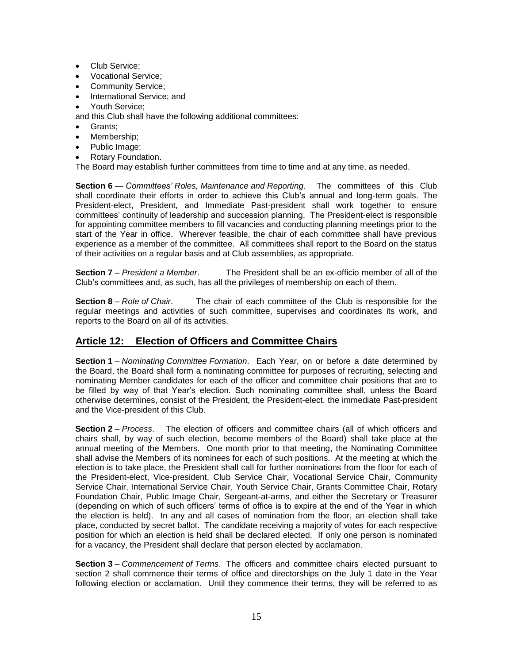- Club Service;
- Vocational Service:
- Community Service:
- International Service; and
- Youth Service;

and this Club shall have the following additional committees:

- Grants;
- Membership;
- Public Image;
- Rotary Foundation.

The Board may establish further committees from time to time and at any time, as needed.

**Section 6** — *Committees' Roles, Maintenance and Reporting*. The committees of this Club shall coordinate their efforts in order to achieve this Club's annual and long-term goals. The President-elect, President, and Immediate Past-president shall work together to ensure committees' continuity of leadership and succession planning. The President-elect is responsible for appointing committee members to fill vacancies and conducting planning meetings prior to the start of the Year in office. Wherever feasible, the chair of each committee shall have previous experience as a member of the committee. All committees shall report to the Board on the status of their activities on a regular basis and at Club assemblies, as appropriate.

**Section 7** – *President a Member*. The President shall be an ex-officio member of all of the Club's committees and, as such, has all the privileges of membership on each of them.

**Section 8** – *Role of Chair*. The chair of each committee of the Club is responsible for the regular meetings and activities of such committee, supervises and coordinates its work, and reports to the Board on all of its activities.

# **Article 12: Election of Officers and Committee Chairs**

**Section 1** – *Nominating Committee Formation*. Each Year, on or before a date determined by the Board, the Board shall form a nominating committee for purposes of recruiting, selecting and nominating Member candidates for each of the officer and committee chair positions that are to be filled by way of that Year's election. Such nominating committee shall, unless the Board otherwise determines, consist of the President, the President-elect, the immediate Past-president and the Vice-president of this Club.

**Section 2** – *Process*. The election of officers and committee chairs (all of which officers and chairs shall, by way of such election, become members of the Board) shall take place at the annual meeting of the Members. One month prior to that meeting, the Nominating Committee shall advise the Members of its nominees for each of such positions. At the meeting at which the election is to take place, the President shall call for further nominations from the floor for each of the President-elect, Vice-president, Club Service Chair, Vocational Service Chair, Community Service Chair, International Service Chair, Youth Service Chair, Grants Committee Chair, Rotary Foundation Chair, Public Image Chair, Sergeant-at-arms, and either the Secretary or Treasurer (depending on which of such officers' terms of office is to expire at the end of the Year in which the election is held). In any and all cases of nomination from the floor, an election shall take place, conducted by secret ballot. The candidate receiving a majority of votes for each respective position for which an election is held shall be declared elected. If only one person is nominated for a vacancy, the President shall declare that person elected by acclamation.

**Section 3** – *Commencement of Terms*. The officers and committee chairs elected pursuant to section 2 shall commence their terms of office and directorships on the July 1 date in the Year following election or acclamation. Until they commence their terms, they will be referred to as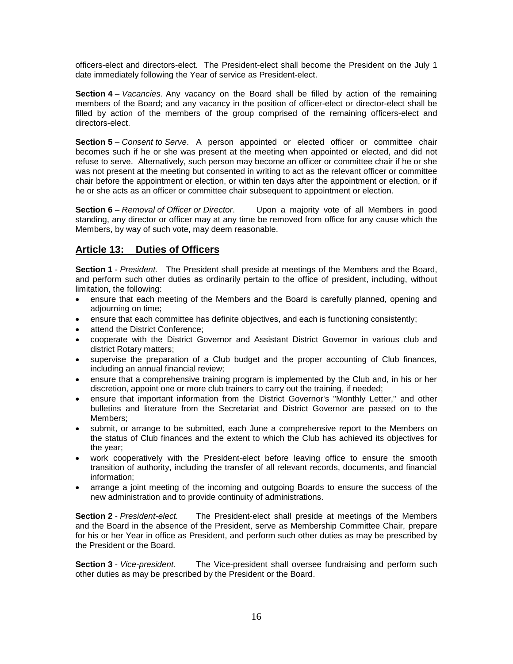officers-elect and directors-elect. The President-elect shall become the President on the July 1 date immediately following the Year of service as President-elect.

**Section 4** – *Vacancies*. Any vacancy on the Board shall be filled by action of the remaining members of the Board; and any vacancy in the position of officer-elect or director-elect shall be filled by action of the members of the group comprised of the remaining officers-elect and directors-elect.

**Section 5** – *Consent to Serve*. A person appointed or elected officer or committee chair becomes such if he or she was present at the meeting when appointed or elected, and did not refuse to serve. Alternatively, such person may become an officer or committee chair if he or she was not present at the meeting but consented in writing to act as the relevant officer or committee chair before the appointment or election, or within ten days after the appointment or election, or if he or she acts as an officer or committee chair subsequent to appointment or election.

**Section 6** – *Removal of Officer or Director*. Upon a majority vote of all Members in good standing, any director or officer may at any time be removed from office for any cause which the Members, by way of such vote, may deem reasonable.

# **Article 13: Duties of Officers**

**Section 1** - *President.* The President shall preside at meetings of the Members and the Board, and perform such other duties as ordinarily pertain to the office of president, including, without limitation, the following:

- ensure that each meeting of the Members and the Board is carefully planned, opening and adjourning on time;
- ensure that each committee has definite objectives, and each is functioning consistently;
- attend the District Conference;
- cooperate with the District Governor and Assistant District Governor in various club and district Rotary matters;
- supervise the preparation of a Club budget and the proper accounting of Club finances, including an annual financial review;
- ensure that a comprehensive training program is implemented by the Club and, in his or her discretion, appoint one or more club trainers to carry out the training, if needed;
- ensure that important information from the District Governor's "Monthly Letter," and other bulletins and literature from the Secretariat and District Governor are passed on to the Members;
- submit, or arrange to be submitted, each June a comprehensive report to the Members on the status of Club finances and the extent to which the Club has achieved its objectives for the year;
- work cooperatively with the President-elect before leaving office to ensure the smooth transition of authority, including the transfer of all relevant records, documents, and financial information;
- arrange a joint meeting of the incoming and outgoing Boards to ensure the success of the new administration and to provide continuity of administrations.

**Section 2** - *President-elect.* The President-elect shall preside at meetings of the Members and the Board in the absence of the President, serve as Membership Committee Chair, prepare for his or her Year in office as President, and perform such other duties as may be prescribed by the President or the Board.

**Section 3** - *Vice-president.* The Vice-president shall oversee fundraising and perform such other duties as may be prescribed by the President or the Board.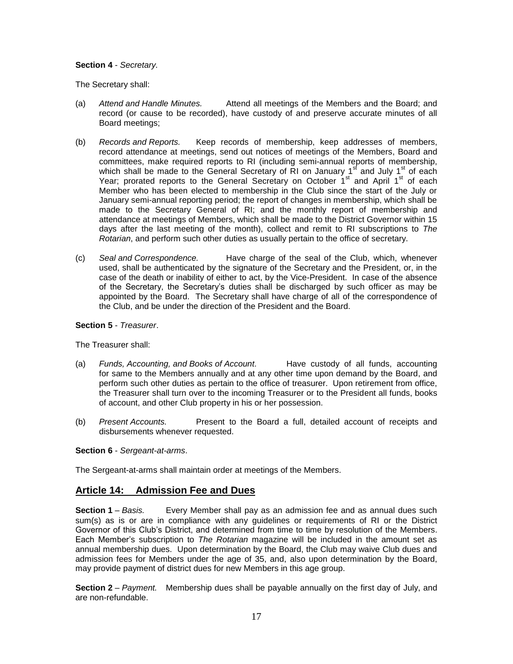#### **Section 4** - *Secretary.*

The Secretary shall:

- (a) *Attend and Handle Minutes.* Attend all meetings of the Members and the Board; and record (or cause to be recorded), have custody of and preserve accurate minutes of all Board meetings;
- (b) *Records and Reports.* Keep records of membership, keep addresses of members, record attendance at meetings, send out notices of meetings of the Members, Board and committees, make required reports to RI (including semi-annual reports of membership, which shall be made to the General Secretary of  $\overline{R}$ I on January 1<sup>st</sup> and July 1<sup>st</sup> of each Year; prorated reports to the General Secretary on October 1<sup>st</sup> and April 1<sup>st</sup> of each Member who has been elected to membership in the Club since the start of the July or January semi-annual reporting period; the report of changes in membership, which shall be made to the Secretary General of RI; and the monthly report of membership and attendance at meetings of Members, which shall be made to the District Governor within 15 days after the last meeting of the month), collect and remit to RI subscriptions to *The Rotarian*, and perform such other duties as usually pertain to the office of secretary.
- (c) *Seal and Correspondence.* Have charge of the seal of the Club, which, whenever used, shall be authenticated by the signature of the Secretary and the President, or, in the case of the death or inability of either to act, by the Vice-President. In case of the absence of the Secretary, the Secretary's duties shall be discharged by such officer as may be appointed by the Board. The Secretary shall have charge of all of the correspondence of the Club, and be under the direction of the President and the Board.

#### **Section 5** - *Treasurer*.

The Treasurer shall:

- (a) *Funds, Accounting, and Books of Account.* Have custody of all funds, accounting for same to the Members annually and at any other time upon demand by the Board, and perform such other duties as pertain to the office of treasurer. Upon retirement from office, the Treasurer shall turn over to the incoming Treasurer or to the President all funds, books of account, and other Club property in his or her possession.
- (b) *Present Accounts.* Present to the Board a full, detailed account of receipts and disbursements whenever requested.

#### **Section 6** - *Sergeant-at-arms*.

The Sergeant-at-arms shall maintain order at meetings of the Members.

# **Article 14: Admission Fee and Dues**

**Section 1** – *Basis.* Every Member shall pay as an admission fee and as annual dues such sum(s) as is or are in compliance with any guidelines or requirements of RI or the District Governor of this Club's District, and determined from time to time by resolution of the Members. Each Member's subscription to *The Rotarian* magazine will be included in the amount set as annual membership dues. Upon determination by the Board, the Club may waive Club dues and admission fees for Members under the age of 35, and, also upon determination by the Board, may provide payment of district dues for new Members in this age group.

**Section 2** – *Payment.* Membership dues shall be payable annually on the first day of July, and are non-refundable.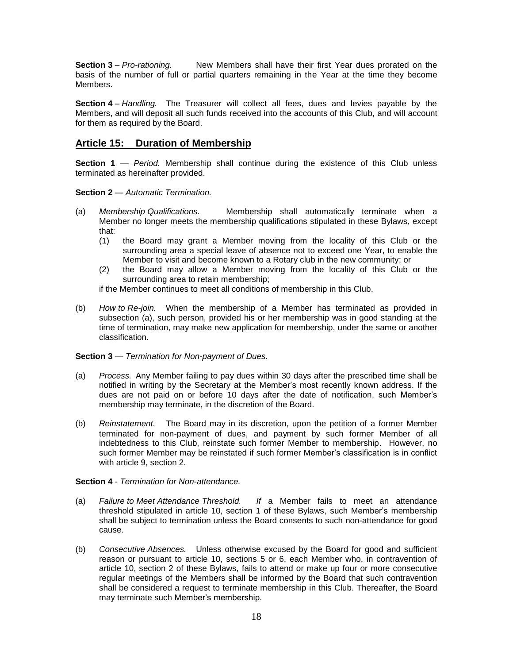**Section 3** – *Pro-rationing.* New Members shall have their first Year dues prorated on the basis of the number of full or partial quarters remaining in the Year at the time they become Members.

**Section 4** – *Handling.* The Treasurer will collect all fees, dues and levies payable by the Members, and will deposit all such funds received into the accounts of this Club, and will account for them as required by the Board.

## **Article 15: Duration of Membership**

**Section 1** — *Period.* Membership shall continue during the existence of this Club unless terminated as hereinafter provided.

#### **Section 2** — *Automatic Termination.*

- (a) *Membership Qualifications.* Membership shall automatically terminate when a Member no longer meets the membership qualifications stipulated in these Bylaws, except that:
	- (1) the Board may grant a Member moving from the locality of this Club or the surrounding area a special leave of absence not to exceed one Year, to enable the Member to visit and become known to a Rotary club in the new community; or
	- (2) the Board may allow a Member moving from the locality of this Club or the surrounding area to retain membership;

if the Member continues to meet all conditions of membership in this Club.

(b) *How to Re-join.* When the membership of a Member has terminated as provided in subsection (a), such person, provided his or her membership was in good standing at the time of termination, may make new application for membership, under the same or another classification.

#### **Section 3** — *Termination for Non-payment of Dues.*

- (a) *Process.* Any Member failing to pay dues within 30 days after the prescribed time shall be notified in writing by the Secretary at the Member's most recently known address. If the dues are not paid on or before 10 days after the date of notification, such Member's membership may terminate, in the discretion of the Board.
- (b) *Reinstatement.* The Board may in its discretion, upon the petition of a former Member terminated for non-payment of dues, and payment by such former Member of all indebtedness to this Club, reinstate such former Member to membership. However, no such former Member may be reinstated if such former Member's classification is in conflict with article 9, section 2.

#### **Section 4** - *Termination for Non-attendance.*

- (a) *Failure to Meet Attendance Threshold. If* a Member fails to meet an attendance threshold stipulated in article 10, section 1 of these Bylaws, such Member's membership shall be subject to termination unless the Board consents to such non-attendance for good cause.
- (b) *Consecutive Absences.* Unless otherwise excused by the Board for good and sufficient reason or pursuant to article 10, sections 5 or 6, each Member who, in contravention of article 10, section 2 of these Bylaws, fails to attend or make up four or more consecutive regular meetings of the Members shall be informed by the Board that such contravention shall be considered a request to terminate membership in this Club. Thereafter, the Board may terminate such Member's membership.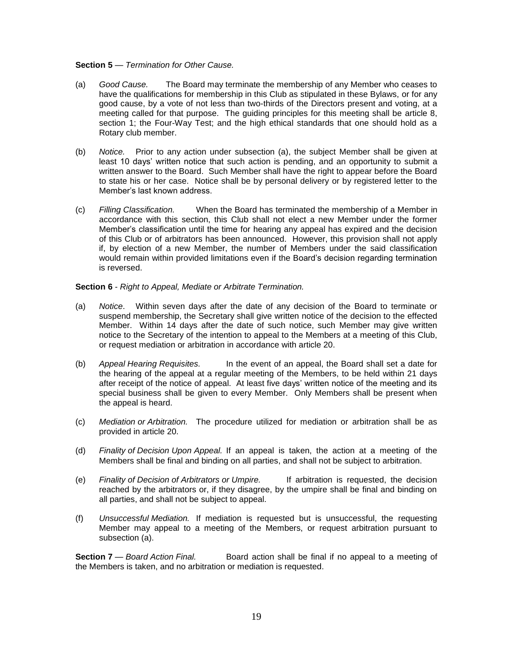#### **Section 5** — *Termination for Other Cause.*

- (a) *Good Cause.* The Board may terminate the membership of any Member who ceases to have the qualifications for membership in this Club as stipulated in these Bylaws, or for any good cause, by a vote of not less than two-thirds of the Directors present and voting, at a meeting called for that purpose. The guiding principles for this meeting shall be article 8, section 1; the Four-Way Test; and the high ethical standards that one should hold as a Rotary club member.
- (b) *Notice.* Prior to any action under subsection (a), the subject Member shall be given at least 10 days' written notice that such action is pending, and an opportunity to submit a written answer to the Board. Such Member shall have the right to appear before the Board to state his or her case. Notice shall be by personal delivery or by registered letter to the Member's last known address.
- (c) *Filling Classification.* When the Board has terminated the membership of a Member in accordance with this section, this Club shall not elect a new Member under the former Member's classification until the time for hearing any appeal has expired and the decision of this Club or of arbitrators has been announced. However, this provision shall not apply if, by election of a new Member, the number of Members under the said classification would remain within provided limitations even if the Board's decision regarding termination is reversed.

#### **Section 6** - *Right to Appeal, Mediate or Arbitrate Termination.*

- (a) *Notice*. Within seven days after the date of any decision of the Board to terminate or suspend membership, the Secretary shall give written notice of the decision to the effected Member. Within 14 days after the date of such notice, such Member may give written notice to the Secretary of the intention to appeal to the Members at a meeting of this Club, or request mediation or arbitration in accordance with article 20.
- (b) *Appeal Hearing Requisites.* In the event of an appeal, the Board shall set a date for the hearing of the appeal at a regular meeting of the Members, to be held within 21 days after receipt of the notice of appeal. At least five days' written notice of the meeting and its special business shall be given to every Member. Only Members shall be present when the appeal is heard.
- (c) *Mediation or Arbitration.* The procedure utilized for mediation or arbitration shall be as provided in article 20.
- (d) *Finality of Decision Upon Appeal.* If an appeal is taken, the action at a meeting of the Members shall be final and binding on all parties, and shall not be subject to arbitration.
- (e) *Finality of Decision of Arbitrators or Umpire.* If arbitration is requested, the decision reached by the arbitrators or, if they disagree, by the umpire shall be final and binding on all parties, and shall not be subject to appeal.
- (f) *Unsuccessful Mediation.* If mediation is requested but is unsuccessful, the requesting Member may appeal to a meeting of the Members, or request arbitration pursuant to subsection (a).

**Section 7** — *Board Action Final.* Board action shall be final if no appeal to a meeting of the Members is taken, and no arbitration or mediation is requested.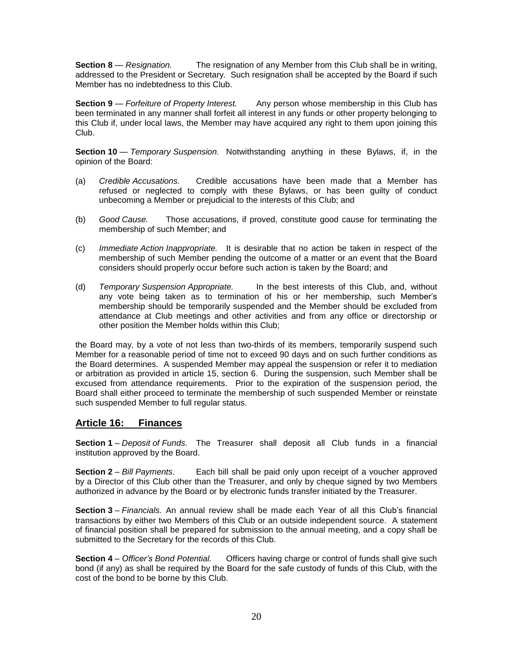**Section 8** — *Resignation.* The resignation of any Member from this Club shall be in writing, addressed to the President or Secretary. Such resignation shall be accepted by the Board if such Member has no indebtedness to this Club.

**Section 9** — *Forfeiture of Property Interest.* Any person whose membership in this Club has been terminated in any manner shall forfeit all interest in any funds or other property belonging to this Club if, under local laws, the Member may have acquired any right to them upon joining this Club.

**Section 10** — *Temporary Suspension.* Notwithstanding anything in these Bylaws, if, in the opinion of the Board:

- (a) *Credible Accusations.* Credible accusations have been made that a Member has refused or neglected to comply with these Bylaws, or has been guilty of conduct unbecoming a Member or prejudicial to the interests of this Club; and
- (b) *Good Cause.* Those accusations, if proved, constitute good cause for terminating the membership of such Member; and
- (c) *Immediate Action Inappropriate.* It is desirable that no action be taken in respect of the membership of such Member pending the outcome of a matter or an event that the Board considers should properly occur before such action is taken by the Board; and
- (d) *Temporary Suspension Appropriate.* In the best interests of this Club, and, without any vote being taken as to termination of his or her membership, such Member's membership should be temporarily suspended and the Member should be excluded from attendance at Club meetings and other activities and from any office or directorship or other position the Member holds within this Club;

the Board may, by a vote of not less than two-thirds of its members, temporarily suspend such Member for a reasonable period of time not to exceed 90 days and on such further conditions as the Board determines. A suspended Member may appeal the suspension or refer it to mediation or arbitration as provided in article 15, section 6. During the suspension, such Member shall be excused from attendance requirements. Prior to the expiration of the suspension period, the Board shall either proceed to terminate the membership of such suspended Member or reinstate such suspended Member to full regular status.

# **Article 16: Finances**

**Section 1** – *Deposit of Funds*. The Treasurer shall deposit all Club funds in a financial institution approved by the Board.

**Section 2** – *Bill Payments*. Each bill shall be paid only upon receipt of a voucher approved by a Director of this Club other than the Treasurer, and only by cheque signed by two Members authorized in advance by the Board or by electronic funds transfer initiated by the Treasurer.

**Section 3** – *Financials.* An annual review shall be made each Year of all this Club's financial transactions by either two Members of this Club or an outside independent source. A statement of financial position shall be prepared for submission to the annual meeting, and a copy shall be submitted to the Secretary for the records of this Club.

**Section 4** – *Officer's Bond Potential.* Officers having charge or control of funds shall give such bond (if any) as shall be required by the Board for the safe custody of funds of this Club, with the cost of the bond to be borne by this Club.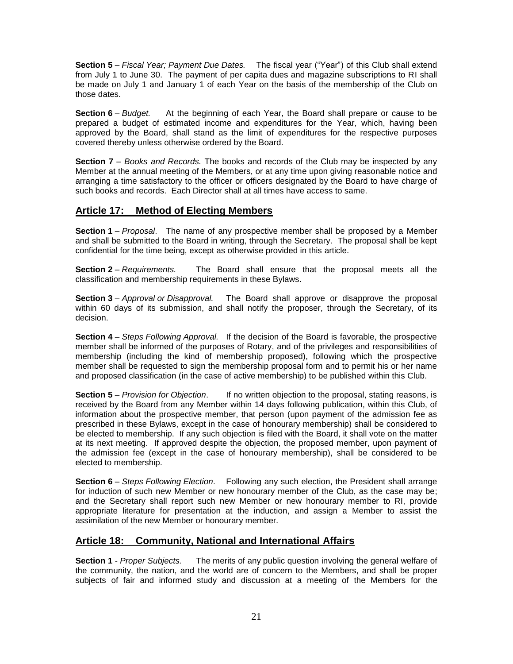**Section 5** – *Fiscal Year; Payment Due Dates.* The fiscal year ("Year") of this Club shall extend from July 1 to June 30. The payment of per capita dues and magazine subscriptions to RI shall be made on July 1 and January 1 of each Year on the basis of the membership of the Club on those dates.

**Section 6** – *Budget.* At the beginning of each Year, the Board shall prepare or cause to be prepared a budget of estimated income and expenditures for the Year, which, having been approved by the Board, shall stand as the limit of expenditures for the respective purposes covered thereby unless otherwise ordered by the Board.

**Section 7** – *Books and Records.* The books and records of the Club may be inspected by any Member at the annual meeting of the Members, or at any time upon giving reasonable notice and arranging a time satisfactory to the officer or officers designated by the Board to have charge of such books and records. Each Director shall at all times have access to same.

# **Article 17: Method of Electing Members**

**Section 1** – *Proposal*. The name of any prospective member shall be proposed by a Member and shall be submitted to the Board in writing, through the Secretary. The proposal shall be kept confidential for the time being, except as otherwise provided in this article.

**Section 2** – *Requirements.* The Board shall ensure that the proposal meets all the classification and membership requirements in these Bylaws.

**Section 3** – *Approval or Disapproval.* The Board shall approve or disapprove the proposal within 60 days of its submission, and shall notify the proposer, through the Secretary, of its decision.

**Section 4** – *Steps Following Approval.* If the decision of the Board is favorable, the prospective member shall be informed of the purposes of Rotary, and of the privileges and responsibilities of membership (including the kind of membership proposed), following which the prospective member shall be requested to sign the membership proposal form and to permit his or her name and proposed classification (in the case of active membership) to be published within this Club.

**Section 5** – *Provision for Objection*. If no written objection to the proposal, stating reasons, is received by the Board from any Member within 14 days following publication, within this Club, of information about the prospective member, that person (upon payment of the admission fee as prescribed in these Bylaws, except in the case of honourary membership) shall be considered to be elected to membership. If any such objection is filed with the Board, it shall vote on the matter at its next meeting. If approved despite the objection, the proposed member, upon payment of the admission fee (except in the case of honourary membership), shall be considered to be elected to membership.

**Section 6** – *Steps Following Election*. Following any such election, the President shall arrange for induction of such new Member or new honourary member of the Club, as the case may be; and the Secretary shall report such new Member or new honourary member to RI, provide appropriate literature for presentation at the induction, and assign a Member to assist the assimilation of the new Member or honourary member.

# **Article 18: Community, National and International Affairs**

**Section 1** - *Proper Subjects.* The merits of any public question involving the general welfare of the community, the nation, and the world are of concern to the Members, and shall be proper subjects of fair and informed study and discussion at a meeting of the Members for the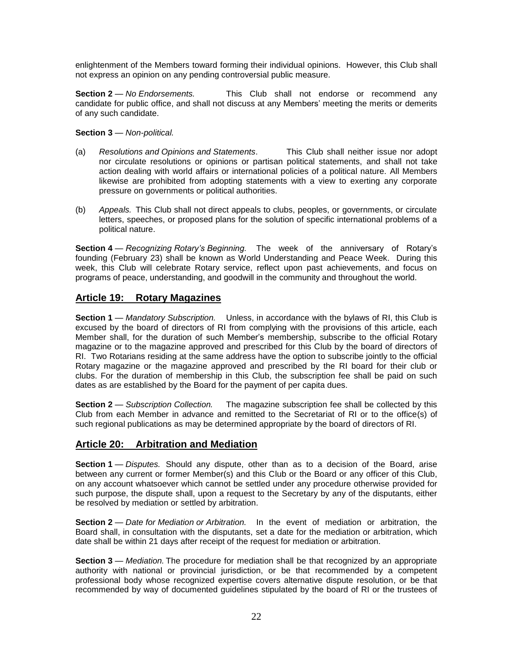enlightenment of the Members toward forming their individual opinions. However, this Club shall not express an opinion on any pending controversial public measure.

**Section 2** — *No Endorsements.* This Club shall not endorse or recommend any candidate for public office, and shall not discuss at any Members' meeting the merits or demerits of any such candidate.

#### **Section 3** — *Non-political.*

- (a) *Resolutions and Opinions and Statements*. This Club shall neither issue nor adopt nor circulate resolutions or opinions or partisan political statements, and shall not take action dealing with world affairs or international policies of a political nature. All Members likewise are prohibited from adopting statements with a view to exerting any corporate pressure on governments or political authorities.
- (b) *Appeals.* This Club shall not direct appeals to clubs, peoples, or governments, or circulate letters, speeches, or proposed plans for the solution of specific international problems of a political nature.

**Section 4** — *Recognizing Rotary's Beginning.* The week of the anniversary of Rotary's founding (February 23) shall be known as World Understanding and Peace Week. During this week, this Club will celebrate Rotary service, reflect upon past achievements, and focus on programs of peace, understanding, and goodwill in the community and throughout the world.

### **Article 19: Rotary Magazines**

**Section 1** — *Mandatory Subscription.* Unless, in accordance with the bylaws of RI, this Club is excused by the board of directors of RI from complying with the provisions of this article, each Member shall, for the duration of such Member's membership, subscribe to the official Rotary magazine or to the magazine approved and prescribed for this Club by the board of directors of RI. Two Rotarians residing at the same address have the option to subscribe jointly to the official Rotary magazine or the magazine approved and prescribed by the RI board for their club or clubs. For the duration of membership in this Club, the subscription fee shall be paid on such dates as are established by the Board for the payment of per capita dues.

**Section 2** — *Subscription Collection.* The magazine subscription fee shall be collected by this Club from each Member in advance and remitted to the Secretariat of RI or to the office(s) of such regional publications as may be determined appropriate by the board of directors of RI.

# **Article 20: Arbitration and Mediation**

**Section 1** — *Disputes*. Should any dispute, other than as to a decision of the Board, arise between any current or former Member(s) and this Club or the Board or any officer of this Club, on any account whatsoever which cannot be settled under any procedure otherwise provided for such purpose, the dispute shall, upon a request to the Secretary by any of the disputants, either be resolved by mediation or settled by arbitration.

**Section 2** — *Date for Mediation or Arbitration.* In the event of mediation or arbitration, the Board shall, in consultation with the disputants, set a date for the mediation or arbitration, which date shall be within 21 days after receipt of the request for mediation or arbitration.

**Section 3** — *Mediation*. The procedure for mediation shall be that recognized by an appropriate authority with national or provincial jurisdiction, or be that recommended by a competent professional body whose recognized expertise covers alternative dispute resolution, or be that recommended by way of documented guidelines stipulated by the board of RI or the trustees of